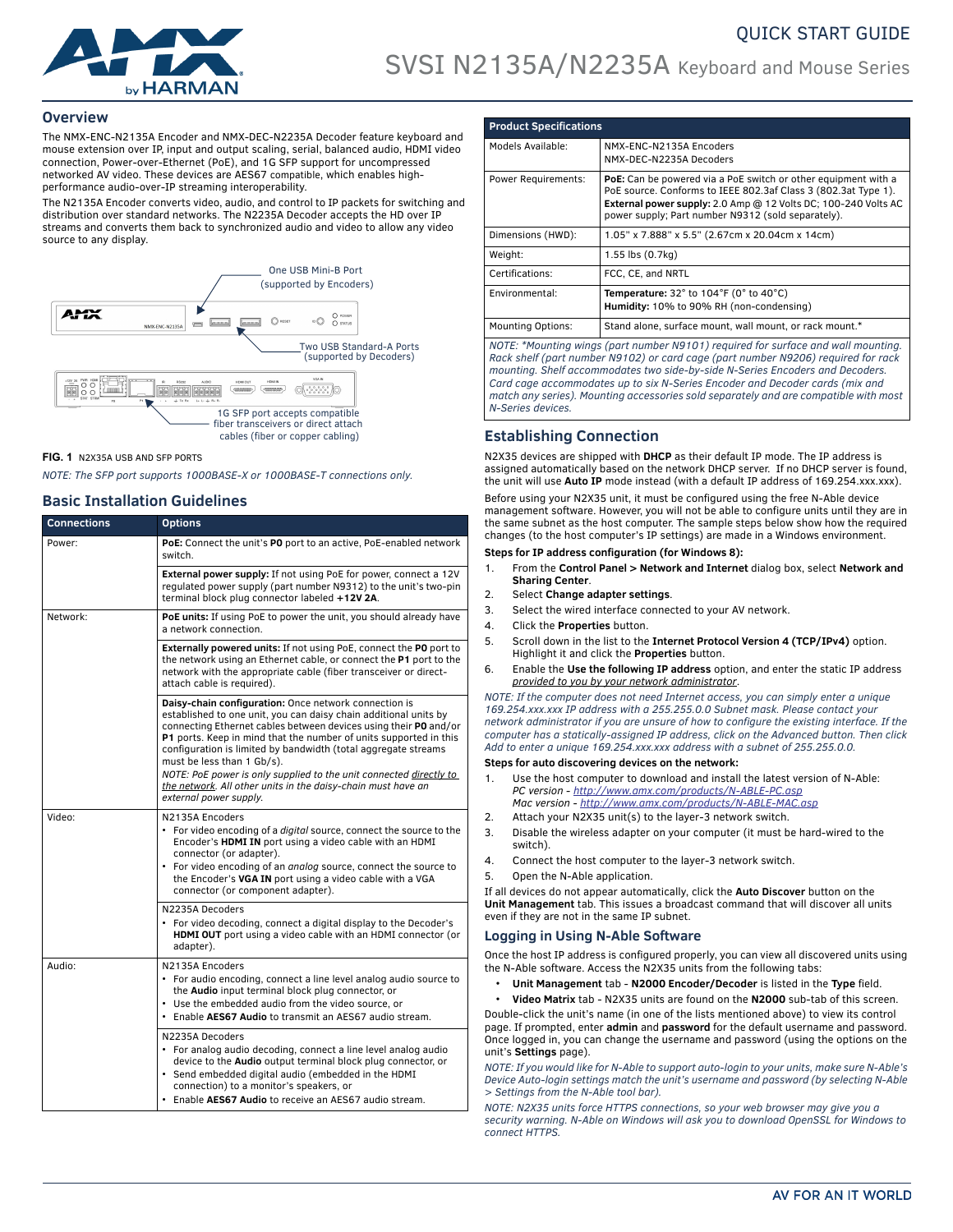

### **Overview**

The NMX-ENC-N2135A Encoder and NMX-DEC-N2235A Decoder feature keyboard and mouse extension over IP, input and output scaling, serial, balanced audio, HDMI video connection, Power-over-Ethernet (PoE), and 1G SFP support for uncompressed networked AV video. These devices are AES67 compatible, which enables highperformance audio-over-IP streaming interoperability.

The N2135A Encoder converts video, audio, and control to IP packets for switching and distribution over standard networks. The N2235A Decoder accepts the HD over IP streams and converts them back to synchronized audio and video to allow any video source to any display.



#### **FIG. 1** N2X35A USB AND SFP PORTS

*NOTE: The SFP port supports 1000BASE-X or 1000BASE-T connections only.*

### **Basic Installation Guidelines**

| <b>Connections</b> | <b>Options</b>                                                                                                                                                                                                                                                                                                                                                                                                                                                                                                                     |
|--------------------|------------------------------------------------------------------------------------------------------------------------------------------------------------------------------------------------------------------------------------------------------------------------------------------------------------------------------------------------------------------------------------------------------------------------------------------------------------------------------------------------------------------------------------|
| Power:             | PoE: Connect the unit's PO port to an active, PoE-enabled network<br>switch.                                                                                                                                                                                                                                                                                                                                                                                                                                                       |
|                    | External power supply: If not using PoE for power, connect a 12V<br>regulated power supply (part number N9312) to the unit's two-pin<br>terminal block plug connector labeled +12V 2A.                                                                                                                                                                                                                                                                                                                                             |
| Network:           | <b>PoE units:</b> If using PoE to power the unit, you should already have<br>a network connection.                                                                                                                                                                                                                                                                                                                                                                                                                                 |
|                    | Externally powered units: If not using PoE, connect the PO port to<br>the network using an Ethernet cable, or connect the P1 port to the<br>network with the appropriate cable (fiber transceiver or direct-<br>attach cable is required).                                                                                                                                                                                                                                                                                         |
|                    | Daisy-chain configuration: Once network connection is<br>established to one unit, you can daisy chain additional units by<br>connecting Ethernet cables between devices using their PO and/or<br>P1 ports. Keep in mind that the number of units supported in this<br>configuration is limited by bandwidth (total aggregate streams<br>must be less than 1 Gb/s).<br>NOTE: PoE power is only supplied to the unit connected directly to<br>the network. All other units in the daisy-chain must have an<br>external power supply. |
| Video:             | N2135A Encoders<br>• For video encoding of a <i>digital</i> source, connect the source to the<br>Encoder's HDMI IN port using a video cable with an HDMI<br>connector (or adapter).<br>• For video encoding of an analog source, connect the source to<br>the Encoder's VGA IN port using a video cable with a VGA<br>connector (or component adapter).                                                                                                                                                                            |
|                    | N2235A Decoders<br>For video decoding, connect a digital display to the Decoder's<br>HDMI OUT port using a video cable with an HDMI connector (or<br>adapter).                                                                                                                                                                                                                                                                                                                                                                     |
| Audio:             | N2135A Encoders<br>• For audio encoding, connect a line level analog audio source to<br>the Audio input terminal block plug connector, or<br>• Use the embedded audio from the video source, or<br>. Enable AES67 Audio to transmit an AES67 audio stream.                                                                                                                                                                                                                                                                         |
|                    | N2235A Decoders<br>• For analog audio decoding, connect a line level analog audio<br>device to the Audio output terminal block plug connector, or<br>Send embedded digital audio (embedded in the HDMI<br>connection) to a monitor's speakers, or<br>• Enable AES67 Audio to receive an AES67 audio stream.                                                                                                                                                                                                                        |

| <b>Product Specifications</b> |                                                                                                                                                                                                                                                          |  |
|-------------------------------|----------------------------------------------------------------------------------------------------------------------------------------------------------------------------------------------------------------------------------------------------------|--|
| Models Available:             | NMX-ENC-N2135A Encoders<br>NMX-DEC-N2235A Decoders                                                                                                                                                                                                       |  |
| <b>Power Requirements:</b>    | PoE: Can be powered via a PoE switch or other equipment with a<br>PoE source. Conforms to IEEE 802.3af Class 3 (802.3at Type 1).<br>External power supply: 2.0 Amp @ 12 Volts DC; 100-240 Volts AC<br>power supply; Part number N9312 (sold separately). |  |
| Dimensions (HWD):             | 1.05" x 7.888" x 5.5" (2.67cm x 20.04cm x 14cm)                                                                                                                                                                                                          |  |
| Weight:                       | 1.55 lbs (0.7kg)                                                                                                                                                                                                                                         |  |
| Certifications:               | FCC, CE, and NRTL                                                                                                                                                                                                                                        |  |
| Environmental:                | Temperature: $32^\circ$ to $104^\circ$ F (0° to $40^\circ$ C)<br>Humidity: 10% to 90% RH (non-condensing)                                                                                                                                                |  |
| <b>Mounting Options:</b>      | Stand alone, surface mount, wall mount, or rack mount.*                                                                                                                                                                                                  |  |
|                               | NOTE: *Mounting wings (part number N9101) required for surface and wall mounting.<br>Rack shelf (part number N9102) or card cage (part number N9206) required for rack                                                                                   |  |

*mounting. Shelf accommodates two side-by-side N-Series Encoders and Decoders. Card cage accommodates up to six N-Series Encoder and Decoder cards (mix and match any series). Mounting accessories sold separately and are compatible with most N-Series devices.* 

## **Establishing Connection**

N2X35 devices are shipped with **DHCP** as their default IP mode. The IP address is assigned automatically based on the network DHCP server. If no DHCP server is found, the unit will use **Auto IP** mode instead (with a default IP address of 169.254.xxx.xxx). Before using your N2X35 unit, it must be configured using the free N-Able device

management software. However, you will not be able to configure units until they are in the same subnet as the host computer. The sample steps below show how the required changes (to the host computer's IP settings) are made in a Windows environment.

### **Steps for IP address configuration (for Windows 8):**

- 1. From the **Control Panel > Network and Internet** dialog box, select **Network and Sharing Center**.
- 2. Select **Change adapter settings**.
- 3. Select the wired interface connected to your AV network.
- 4. Click the **Properties** button.
- 5. Scroll down in the list to the **Internet Protocol Version 4 (TCP/IPv4)** option. Highlight it and click the **Properties** button.
- 6. Enable the **Use the following IP address** option, and enter the static IP address *provided to you by your network administrator*.

*NOTE: If the computer does not need Internet access, you can simply enter a unique 169.254.xxx.xxx IP address with a 255.255.0.0 Subnet mask. Please contact your network administrator if you are unsure of how to configure the existing interface. If the computer has a statically-assigned IP address, click on the Advanced button. Then click Add to enter a unique 169.254.xxx.xxx address with a subnet of 255.255.0.0.*

#### **Steps for auto discovering devices on the network:**

- 1. Use the host computer to download and install the latest version of N-Able: *PC version - http://www.amx.com/products/N-ABLE-PC.asp Mac version - http://www.amx.com/products/N-ABLE-MAC.asp*
- 2. Attach your N2X35 unit(s) to the layer-3 network switch.
- 3. Disable the wireless adapter on your computer (it must be hard-wired to the switch)
- 4. Connect the host computer to the layer-3 network switch.
- 5. Open the N-Able application.

If all devices do not appear automatically, click the **Auto Discover** button on the **Unit Management** tab. This issues a broadcast command that will discover all units even if they are not in the same IP subnet.

## **Logging in Using N-Able Software**

Once the host IP address is configured properly, you can view all discovered units using the N-Able software. Access the N2X35 units from the following tabs:

• **Unit Management** tab - **N2000 Encoder/Decoder** is listed in the **Type** field.

• **Video Matrix** tab - N2X35 units are found on the **N2000** sub-tab of this screen.

Double-click the unit's name (in one of the lists mentioned above) to view its control page. If prompted, enter **admin** and **password** for the default username and password. Once logged in, you can change the username and password (using the options on the unit's **Settings** page).

*NOTE: If you would like for N-Able to support auto-login to your units, make sure N-Able's Device Auto-login settings match the unit's username and password (by selecting N-Able > Settings from the N-Able tool bar).* 

*NOTE: N2X35 units force HTTPS connections, so your web browser may give you a security warning. N-Able on Windows will ask you to download OpenSSL for Windows to connect HTTPS.*